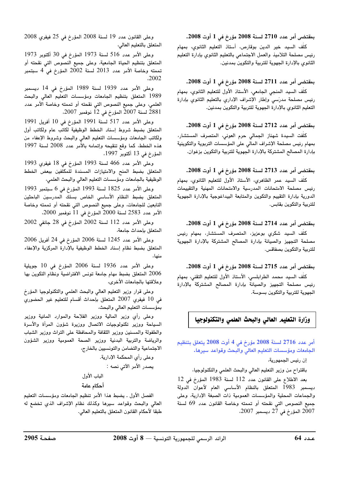$1.2008$  مِعْدِدِ 2710 لِسِنةِ 2008 مِعْرِ خَرْفِي 1 أَوتِ 2008.

.<br>كلّف السيد خير الدين بوقارص، أستاذ التعليم الثانوى، بمهام .<br>نس مصلحة التلاميذ والعمل الاحتماعي بالتعليم الثانوي بإدارة التعليم الثانوى بالإدارة الجهوية للتربية والتكوين بمدنين.

# $1.2008$  مِعْدِدِ 2711 لِسِنةِ 2008 مِعْرِ خَرْفِي 1 أَوتِ 2008.

كلّف السيد المنحى الجامعي، الأستاذ الأول للتعليم الثانوي، يمهام رئيس مصلحة مدرّسي وإطار الإشراف الإداري بالتعليم الثانوي بإدارة التعليم الثانوي بالإدارة الجهوية للتربية والتكوين بمدنين.

# $1.2008$  مِعْدِدِ 2712 لِسِنةِ 2008 مِعْرِ خَرْفِي 1 أَوتِ 2008.

.<br>كلّفت السيدة شهناز الجمالى حرم العونى، المتصرف المستشار، بمهام رئيس مصلحة الإشراف المالى على المؤسسات التربوية والتكوينية .<br>يادارة المصالح المشتركة بالإدارة الجهوية للتربية والتكوين بزغوان.

# $1.2008$  مِعْرَضِي أَمِن عدد 2713 لِسِنةِ 2008 مِعْرِخ فِي 1 أَوتِ 2008.

.<br>كلّف السيد عمر الظاهرى، الأستاذ الأول للتعليم الثانوى، بمهام .<br>رئيس مصلحة الامتحانات المدرسية والامتحانات المهنية والتقييمات الدورية بادارة التقييم والتكوين والمتابعة البيداغوجية بالإدارة الجهوبة للتربية والتكوين بقابس.

# $1.2008$  مِعْدِدِ 2714 لِسِنةِ 2008 مِعْرِ خَرْفِي 1 أَوتِ 2008.

.<br>كلّف السيد شكرى بوعزيز، المتصرف المستشار، بمهام رئيس ،<br>مصلحة التجهيز والصيانة بإدارة المصالح المشتركة بالإدارة الجهوية للتربية والتكوين بصفاقس.

### $2008$  يمقتضي أمر عدد 2715 لسنة 2008 مؤرخ في 1 أوت

كلّف السيد محمد الطرابلسي، الأستاذ الأول للتعليم التقني، بمهام رئيس مصلحة التجهيز والصيانة بإدارة المصالح المشتركة بالإدارة<sup>.</sup> الجهوية للتربية والتكوين بسوسة.

# وزارة التعليم العالي والبحث العلمي والتكنولوجيا

أمر عدد 2716 لسنة 2008 مؤرخ في 4 أوت 2008 بتعلق بتنظيم الجامعات ومؤسسات التعليم العالي والبحث وقواعد سيرها<mark>.</mark>

أن رئيس الجمهورية،

.<br>باقتراح من وزير التعليم العالي والبحث العلمي والتكنولوجيا،

.<br>بعد الاطلاع على القانون عدد 112 لسنة 1983 المؤرخ في 12 .<br>يستمبر 1983 المتعلق بالنظام الأساسي العام لأعوان الدولة والجماعات المجلبة والمؤسسات العمومية ذات الصيغة الإدارية، وعلى .<br>جميع النصوص التي نقحته أو تممته وخاصة القانون عدد 69 لسنة المؤرخ في 2 $\stackrel{+}{2}$  ديسمبر 2007.  $2007$ 

.<br>وعلى القانون عدد 19 لسنة 2008 المؤرخ في 25 فيفري 2008 المتعلق بالتعليم العالى،

.<br>وعلى الأمر عدد 516 لسنة 1973 المؤرخ في 30 أكتوبر 1973 المتعلق بتنظيم الحياة الجامعية، وعلى جميع النصوص التي نقحته أو تممته وخاصة الأمر عدد 2013 لسنة 2002 المؤرخ في 4 سبتمبر n2002

وعلى الأمر عدد 1939 لسنة 1989 المؤرخ في 14 ديسمبر .<br>1989 المتعلق بتنظيم الجامعات ومؤسسات التعليم العالي والبحث العلمي، وعلى جميع النصوص التي نقحته أو تممته وخاصة الأمر عدد .<br>2881 لسنة 2007 المؤرخ في 12 نوفمبر 2007،

.<br>وعلى الأمر عدد 517 لسنة 1991 المؤرخ في 10 أفريل 1991 المتعلق بضبط شروط إسناد الخطط الوظيفية لكاتب عام ولكاتب أول .<br>ولكاتب الجامعات ومؤسسات التعليم العالمي والبحث وشروط الإعفاء من .<br>هذه الخطط، كما وقع تنقيحه وإتمامه بالأمر عدد 2008 لسنة 1997 المؤرخ في 13 أكتوبر 1997،

وعلى الأمر عدد 466 لسنة 1993 المؤرخ في 18 فيفرى 1993 للمتعلق بضبط المنح والامتيازات المسندة للمكلفين ببعض الخطط الوظيفية بالجامعات ومؤسسات التعليم العالي والبحث العلمي،

وعلى الأمر عدد 1825 لسنة 1993 المؤرخ في 6 سبتمبر 1993 المتعلق بضبط النظام الأساسي الخاص بسلك المدرسين الباحثين ...<br>التابعين للجامعات، وعلى جميع النصوص التي نقحته أو تممته وخاصة  $2000$  الأمر عدد 2583 لسنة 2000 المؤرخ في  $\begin{bmatrix} 1 \ 1 \end{bmatrix}$  نوفمبر

.<br>وعلى الأمر عدد 112 لسنة 2002 المؤرخ في 28 جانفي 2002 المتعلق باحداث جامعة،

.<br>وعلى الأمر عدد 1245 لسنة 2006 المؤرخ في 24 أفريل 2006 المتعلق بضبط نظام إسناد الخطط الوظيفية بالإدارة المركزية والإعفاء منها،

وعلى الأمر عدد 1936 لسنة 2006 المؤرخ في 10 جويلية .<br>2006 المتعلق بضبط مهام جامعة تونس الافتراضية ونظام التكوين بها وعلاقتها بالجامعات الأخرى،

.<br>وعلى قرار وزير التعليم العالي والبحث العلمي والتكنولوجيا المؤرخ .<br>في 10 فيفري 2007 المتعلق بإحداث أقسام للتعليم غير الحضوري ..<br>يمؤسسات التعليم العالي والبحث،

.<br>وعلى رأى وزير المالية ووزير الفلاحة والموارد المائية ووزير .<br>السياحة ووزير تكنولوجيات الاتصال ووزيرة شؤون المرأة والأسرة .<br>والطفولة والمسنين ووزير الثقافة والمحافظة على التراث ووزير الشباب .<br>والرياضة والتربية البدنية ووزير الصحة العمومية ووزير الشؤون الاحتماعية والتضامن والتونسيين بالخارج،

> وعلى رأى المحكمة الإدارية. يصدر الأمر الآتي نصه : الياب الأول أحكام عامة

الفصل الأول . يضبط هذا الأمر تنظيم الجامعات ومؤسسات التعليم .<br>العالي والبحث وقواعد سيرها وكذلك نظام الإشراف الذى تخضع له .<br>طبقاً لأحكام القانون المتعلق بالتعليم العالي.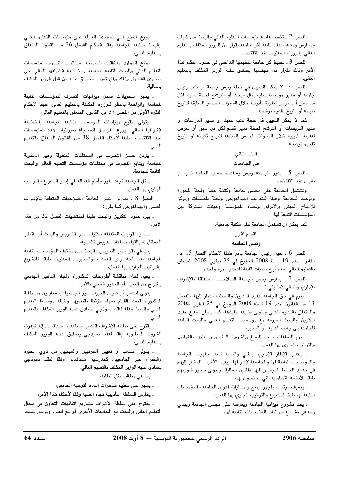الفصل 2 ـ تضبط قائمة مؤسسات التعليم العالى والبحث من كليات ومدارس ومعاهد عليا تابعة لكل جامعة بقرار من الوزير المكلف بالتعليم العالى والوزراء المعنيين عند الاقتضاء.

الفصل 3 ـ تضبط كل جامعة تنظيمها الداخلي في حدود أحكام هذا الأمر وذلك بقرار من مجلسها يصادق عليه الوزير المكلف بالتعليم العالي.

الفصل 4 ـ لا يمكن التعيين في خطة رئيس جامعة أو نائب رئيس جامعة أو مدير مؤسسة تعليم عال وبحث أو الترشح لخطة عميد لكل من سبق أن تعرض لعقوبة تأديبية خلال السنوات الخمس السابقة لتاريخ تعيينه أو تاريخ تقديم ترشحه.

كما لا يمكن التعيين في خطة نائب عميد أو مدير الدراسات أو مدير التربصات أو الترشح لخطة مدير قسم لكل من سبق أن تعرض لعقوبة تأديبية خلال السنوات الخمس السابقة لتاريخ تعيينه أو تاريخ تقديم ترشحه.

#### الباب الثانى

#### في الجامعات

الفصل 5 . يدير الجامعة رئيس يساعده حسب الحاجة نائب أو نائبان عند الاقتضاء.

وتشتمل الجامعة على مجلس جامعة وكتابة عامة ولجنة للجودة ومرصد للجامعة وهيئة للتدريب البيداغوجى ولجنة للصفقات ومركز للإدماج المهني والإفراق وفضاء للمؤسسة وهيئات مشتركة بين المؤسسات التابعة لها.

# كما يمكن أن تشتمل الجامعة على مكتبة جامعية.

القسم الأول

#### رئيس الجامعة

الفصل 6 . يعين رئيس الجامعة بأمر طبقا لأحكام الفصل 15 من القانون عدد 19 لسنة 2008 المؤرخ في 25 فيفري 2008 المتعلق بالتعليم العالي لمدة أربع سنوات قابلة للتجديد مرة واحدة.

الفصل 7 . يمارس رئيس الجامعة الصلاحيات المتعلقة بالإشراف الإداري والمالي كما يلي :

. يبرم في حق الجامعة عقود التكوين والبحث المشار إليها بالفصل 13 من القانون عدد 19 لسنة 2008 المؤرخ في 25 فيفري 2008 والمتعلق بالتعليم العالي ويتولى متابعة تنفيذها، كما يتولى توقيع عقود التكوين والبحث المبرمة مع مؤسسات التعليم العالى والبحث التابعة للجامعة إلى جانب العميد أو المدير،

. يبرم الصفقات حسب الصيغ والشروط المنصوص عليها بالقوانين والتراتيب الجارى بها العمل،

. ينتدب الإطار الإداري والفنى والعملة لسد حاجيات الجامعة والمؤسسات التابعة لها والخاضعة لإشرافها ويعين الأعوان المشار إليهم في حدود الخطط المرخص فيها بقانون المالية. ويتولى تسيير شؤونهم طبقا للأنظمة الأساسية التى يخضعون لها،

. يصرف مرتبات وأجور ومنح وامتيازات أعوان الجامعة والمؤسسات التابعة لها طبقا للتشريع والتراتيب الجارى بها العمل،

. يعد مشروع ميزانية الجامعة ويعرضه على مجلس الجامعة ويبدى رأيه في مشاريع ميزانيات المؤسسات التابعة لها،

. يوزع المنح التي تسندها الدولة على مؤسسات التعليم العالي والبحث التابعة للجامعة وفقا لأحكام الفصل 36 من القانون المتعلق بالتعليم العالى،

. يوزع الموارد والنفقات المرسمة بميزانيات التصرف لمؤسسات التعليم العالي والبحث التابعة للجامعة والخاضعة لإشرافها المالي على مستوى الفصول وذلك وفق تبويب مصادق عليه من قبل الوزير المكلف ىالمالىة،

. ينجز التحويلات ضمن ميزانيات التصرف للمؤسسات التابعة للجامعة والراجعة بالنظر للوزارة المكلفة بالتعليم العالى، طبقا لأحكام الفقرة الأولى من الفصل 37 من القانون المتعلق بالتعليم العالي،

. يتولى تنقيح ميزانيات المؤسسات التابعة للجامعة والخاضعة لإشرافها المالى ويوزع الفواضل المسجلة بميزانيات هذه المؤسسات عند الاقتضاء، طبقا لأحكام الفصل 38 من القانون المتعلق بالتعليم العالى،

. يؤمن حسن التصرف في الممتلكات المنقولة وغير المنقولة للجامعة ويتابع التصرف في ممتلكات مؤسسات التعليم العالي والبحث التابعة للجامعة،

. يمثل الجامعة تجاه الغير وأمام العدالة في إطار التشريع والتراتيب الجاري بها العمل.

الفصل 8 . يمارس رئيس الجامعة الصلاحيات المتعلقة بالإشراف العلمي والبيداغوجي كما يلي :

. يبرم عقود التكوين والبحث طبقا لمقتضيات الفصل 22 من هذا الأمر ،

. يصدر القرارات المتعلقة بتكليف إطار التدريس والبحث أو الإطار المماثل له بالقيام بساعات تدريس تكميلية،

. يبت في نقل إطار التدريس والبحث بين مختلف المؤسسات التابعة للجامعة بعد أخذ رأي العمداء والمديرين المعنيين طبقا للتشريع والتراتيب الجاري بها العمل،

. يعين لجان مناقشة أطروحات الدكتوراه ولجان التأهيل الجامعي باقتراح من العميد أو المدير المعني بالأمر،

. يتولى انتداب أو تعيين الخبرات غير الجامعية والمعاونين من طلبة الدكتوراه قصد القيام بمهام مؤقتة تقتضيها وظيفة مؤسسة التعليم العالي والبحث وفقا لعقد نموذجي يصادق عليه الوزير المكلف بالتعليم العالى،

. يقترح على سلطة الإشراف انتداب مساعدين متعاقدين إذا توفرت الشروط المطلوبة وفقا لعقد نموذجي يصادق عليه الوزير المكلف بالتعليم العالى،

. يتولى انتداب أو تعيين الحرفيين والمهنيين من ذوى الخبرة والخبراء غير الجامعيين كمدرسين متعاقدين وفقا لعقد نموذجى يصادق عليه الوزير المكلف بالتعليم العالي،

. يبت في مطالب نقل الطلبة،

. يسهر على تنظيم مناظرات إعادة التوجيه الجامعي،

. يمارس السلطة التأديبية تجاه الطلبة وفقا لأحكام هذا الأمر،

. يقترح على سلطة الإشراف مشاريع اتفاقيات التعاون في مجال التعليم العالي والبحث مع الجامعات الأخرى أو مع الغير، ويرسل نسخا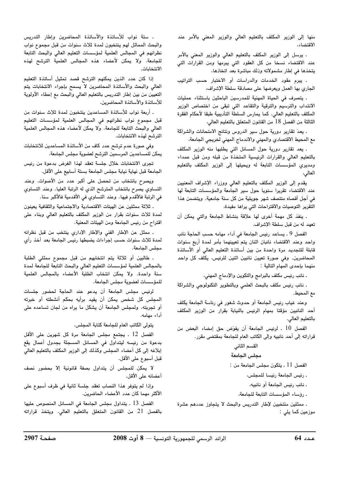منها إلى الوزير المكلف بالتعليم العالى والوزير المعنى بالأمر عند الاقتضاء،

. يرسل إلى الوزير المكلف بالتعليم العالى والوزير المعنى بالأمر عند الاقتضاء نسخا من كل العقود التي يبرمها ومن القرارات التي يتخذها في إطار مشمولاته وذلك مباشرة بعد اتخاذها،

. يبرم عقود الخدمات والدراسات أو الاختبار حسب التراتيب الجاري بها العمل ويعرضها على مصادقة سلطة الإشراف،

. يتصرف في الحياة المهنية للمدرسين الباحثين باستثناء عمليات الانتداب والترسيم والترقية والتقاعد التى تبقى من اختصاص الوزير المكلف بالتعليم العالي. كما يمارس السلطة التأديبية طبقا لأحكام الفقرة الثالثة من الفصل 18 من القانون المتعلق بالتعليم العالي،

. يعدّ تقارير دورية حول سير الدروس ونتائج الامتحانات والشراكة مع المحيط الاقتصادي والمهني والاندماج المهني لخريجي الجامعة،

. يعد تقارير دورية حول المسائل التي يطلبها منه الوزير المكلف بالتعليم العالى والقرارات الرئيسية المتخذة من قبله ومن قبل عمداء ومديري المؤسسات التابعة له ويحيلها إلى الوزير المكلف بالتعليم العالى،

يقدم إلى الوزير المكلف بالتعليم العالى ووزراء الإشراف المعنيين عند الاقتضاء تقريرا سنويا حول سير الجامعة والمؤسسات التابعة لها في أجل أقصاه منتصف شهر جويلية من كل سنة جامعية. ويتضمن هذا التقرير التوصيات والاقتراحات التى يراها مفيدة،

. ينفذ كل مهمة أخرى لها علاقة بنشاط الجامعة والتي يمكن أن تعهد له من قبل سلطة الإشراف.

الفصل 9 . يساعد رئيس الجامعة في أداء مهامه حسب الحاجة نائب واحد وعند الاقتضاء نائبان اثنان يتم تعيينهما بأمر لمدة أربع سنوات قابلة للتجديد مرة واحدة من بين أساتذة التعليم العالى أو الأساتذة المحاضرين. وفي صورة تعيين نائبين اثنين للرئيس، يكلف كل واحد منهما بإحدى المهام التالية :

. نائب رئيس مكلف بالبرامج والتكوين والإدماج المهنى،

. نائب رئيس مكلف بالبحث العلمى وبالتطوير التكنولوجي والشراكة مع المحيط.

وعند غياب رئيس الجامعة أو حدوث شغور في رئاسة الجامعة يكلف أحد النائبين مؤقتا بمهام الرئيس بالنيابة بقرار من الوزير المكلف بالتعليم العالي.

الفصل 10 . لرئيس الجامعة أن يفوّض حق إمضاء البعض من قراراته إلى أحد نائبيه وإلى الكاتب العام للجامعة بمقتضى مقرر.

#### القسم الثاني

#### مجلس الجامعة

الفصل 11 . يتكون مجلس الجامعة من :

. رئيس الجامعة رئيسا للمجلس،

. نائب رئيس الجامعة أو نائبيه،

. رؤساء المؤسسات التابعة للجامعة،

. ممثلين منتخبين لإطار التدريس والبحث لا يتجاوز عددهم عشرة موزعين كما يلي :

. ستة نواب للأساتذة والأساتذة المحاضرين وإطار التدريس والبحث المماثل لهم ينتخبون لمدة ثلاث سنوات من قبل مجموع نواب نظرائهم في المجالس العلمية لمؤسسات التعليم العالي والبحث التابعة للجامعة. ولا يمكن لأعضاء هذه المجالس العلمية الترشح لهذه الانتخابات.

إذا كان عدد الذين يمكنهم الترشح قصد تمثيل أساتذة التعليم العالي والبحث والأساتذة المحاضرين لا يسمح بإجراء الانتخابات يتم التعيين من بين إطار التدريس بالتعليم العالي والبحث مع إعطاء الأولوية للأساتذة والأساتذة المحاضرين.

. أربعة نواب للأساتذة المساعدين ينتخبون لمدة ثلاث سنوات من قبل مجموع نواب نظرائهم في المجالس العلمية لمؤسسات التعليم العالى والبحث التابعة للجامعة. ولا يمكن لأعضاء هذه المجالس العلمية الترشح لهذه الانتخابات.

وفي صورة عدم ترشح عدد كاف من الأساتذة المساعدين للانتخابات يمكن للمساعدين المرسمين الترشح لعضوية مجلس الجامعة.

تجرى الانتخابات خلال جلسة تعقد لهذا الغرض بدعوة من رئيس الجامعة قبل نهاية نيابة مجلس الجامعة بستة أسابيع على الأقل.

ويصرح بانتخاب من تحصل على أكبر عدد من الأصوات. وعند التساوي يصرح بانتخاب المترشح الذي له الرتبة العليا. وعند التساوي في الرتبة فالأقدم فيها. وعند التساوي فى الأقدمية فالأكبر سنا.

. ثلاثة ممثلين عن الهيئات الاقتصادية والاجتماعية والثقافية يعينون لمدة ثلاث سنوات بقرار من الوزير المكلف بالتعليم العالي وبناء على اقتراح من رئيس الجامعة ومن الهيئات المعنية.

. ممثل عن الإطار الفنى والإطار الإدارى ينتخب من قبل نظرائه لمدة ثلاث سنوات حسب إجراءات يضبطها رئيس الجامعة بعد أخذ رأي مجلس الجامعة.

. طالبين أو ثلاثة يتم انتخابهم من قبل مجموع ممثلي الطلبة بالمجالس العلمية لمؤسسات التعليم العالى والبحث التابعة للجامعة لمدة سنة واحدة. ولا يمكن انتخاب الطلبة الأعضاء بالمجالس العلمية للمؤسسات لعضوية مجلس الجامعة.

لرئيس مجلس الجامعة أن يدعو عند الحاجة لحضور جلسات المجلس كل شخص يمكن أن يفيد برأيه بحكم أنشطته أو خبرته أو تجربته. ولمجلس الجامعة أن يشكل ما يراه من لجان تساعده على أداء مهامه.

يتولى الكاتب العام للجامعة كتابة المجلس.

الفصل 12 . يجتمع مجلس الجامعة مرة كل شهرين على الأقل بدعوة من رئيسه ليتداول في المسائل المسجلة بجدول أعمال يقع إبلاغه إلى كل أعضاء المجلس وكذلك إلى الوزير المكلف بالتعليم العالي قبل أسبوع على الأقل.

لا يمكن للمجلس أن يتداول بصفة قانونية إلا بحضور نصف أعضائه على الأقل.

وإذا لم يتوفر هذا النصاب تعقد جلسة ثانية في ظرف أسبوع على الأكثر مهما كان عدد الأعضاء الحاضرين.

الفصل 13 ـ يتداول مجلس الجامعة في المسائل المنصوص عليها بالفصل 21 من القانون المتعلق بالتعليم العالي. ويتخذ قراراته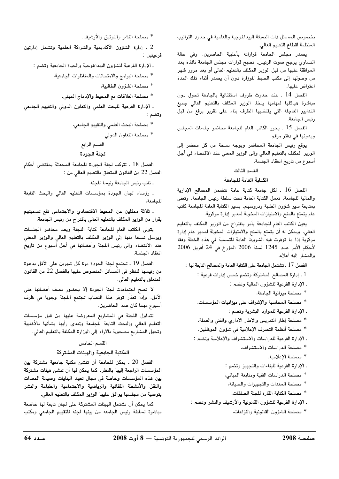بخصوص المسائل ذات الصبغة البيداغوجية والعلمية في حدود التراتيب المنظمة لقطاع التعليم العالي.

يصدر مجلس الجامعة قراراته بأغلبية الحاضرين. وفي حالة التساوي يرجح صوت الرئيس. تصبح قرارات مجلس الجامعة نافذة بعد الموافقة عليها من قبل الوزير المكلف بالتعليم العالي أو بعد مرور شهر من وصولها إلى مكتب الضبط للوزارة دون أن يصدر أثناء تلك المدة اعتراض عليها.

الفصل 14 . عند حدوث ظروف استثنائية بالجامعة تحول دون مباشرة هياكلها لمهامها يتخذ الوزير المكلف بالتعليم العالى جميع التدابير العاجلة التي يقتضيها الظرف بناء على تقرير يرفع من قبل رئيس الجامعة.

الفصل 15 . يحرر الكاتب العام للجامعة محاضر جلسات المجلس ويدونها في دفتر مرقم.

يوقع رئيس الجامعة المحاضر ويوجه نسخة من كل محضر إلى الوزير المكلف بالتعليم العالي وإلى الوزير المعني عند الاقتضاء في أجل أسبوع من تاريخ انعقاد الجلسة.

#### القسم الثالث

#### الكتابة العامة للجامعة

الفصل 16 . لكل جامعة كتابة عامة تتضمن المصالح الإدارية والمالية للجامعة. تعمل الكتابة العامة تحت سلطة رئيس الجامعة. وتعنى بمتابعة سير شؤون الطلبة ودروسهم. يسير الكتابة العامة للجامعة كاتب عام يتمتع بالمنح والامتيازات المخولة لمدير إدارة مركزية.

يعين الكاتب العام للجامعة بأمر باقتراح من الوزير المكلف بالتعليم العالي. ويمكن له أن يتمتع بالمنح والامتيازات المخولة لمدير عام إدارة مركزية إذا ما توفرت فيه الشروط العامة للتسمية في هذه الخطة وفقا لأحكام الأمر عدد 1245 لسنة 2006 المؤرخ في 24 أفريل 2006 والمشار إليه أعلاه.

الفصل 17 ـ تشتمل الجامعة على الكتابة العامة والمصالح التابعة لها :

1 ـ إدارة المصالح المشتركة وتضم خمس إدارات فرعية :

. الإدارة الفرعية للشؤون المالية وتضم :

\* مصلحة ميزانية الجامعة،

\* مصلحة المحاسبة والإشراف على ميزانيات المؤسسات.

ـ الإدارة الفرعية للموارد البشرية وتضم :

\* مصلحة إطار التدريس والإطار الإداري والفنى والعملة،

\* مصلحة أنظمة التصرف الإعلامية في شؤون الموظفين.

. الإدارة الفرعية للدراسات والاستشراف والإعلامية وتضم :

\* مصلحة الدراسات والاستشراف،

\* مصلحة الإعلامية.

. الإدارة الفرعية للبناءات والتجهيز وتضم :

\* مصلحة الدراسات الفنية ومتابعة المبانى،

\* مصلحة المعدات والتجهيزات والصيانة،

\* مصلحة الكتابة القارة للجنة الصفقات.

. الإدارة الفرعية للشؤون القانونية والأرشيف والنشر وتضم :

\* مصلحة الشؤون القانونية والنزاعات،

\* مصلحة النشر والتوثيق والأرشيف.

2 . إدارة الشؤون الأكاديمية والشراكة العلمية وتشمل إدارتين فرعيتين :

. الإدارة الفرعية للشؤون البيداغوجية والحياة الجامعية وتضم :

\* مصلحة البرامج والامتحانات والمناظرات الجامعية،

\* مصلحة الشؤون الطالبية،

\* مصلحة العلاقات مع المحيط والإدماج المهنى.

. الإدارة الفرعية للبحث العلمى والتعاون الدولي والتقييم الجامعي وتضم :

\* مصلحة البحث العلمي والتقييم الجامعي،

\* مصلحة التعاون الدولي.

القسم الرابع

لحنة الحودة

الفصل 18 . تتركب لجنة الجودة للجامعة المحدثة بمقتضى أحكام الفصل 22 من القانون المتعلق بالتعليم العالي من :

. نائب رئيس الجامعة رئيسا للجنة،

. رؤساء لجان الجودة بمؤسسات التعليم العالي والبحث التابعة للجامعة،

. ثلاثة ممثلين عن المحيط الاقتصادي والاجتماعى تقع تسميتهم بقرار من الوزير المكلف بالتعليم العالي باقتراح من رئيس الجامعة.

يتولى الكاتب العام للجامعة كتابة اللجنة ويعد محاضر الجلسات ويرسل نسخا منها إلى الوزير المكلف بالتعليم العالى والوزير المعنى عند الاقتضاء وإلى رئيس اللجنة وأعضائها في أجل أسبوع من تاريخ انعقاد الحلسة.

الفصل 19 . تجتمع لجنة الجودة مرة كل شهرين على الأقل بدعوة من رئيسها للنظر في المسائل المنصوص عليها بالفصل 22 من القانون المتعلق بالتعليم العالي.

لا تصح اجتماعات لجنة الجودة إلا بحضور نصف أعضائها على الأقل. وإذا تعذر توفر هذا النصاب تجتمع اللجنة وجوبا في ظرف أسبوع مهما كان عدد الحاضرين.

تتداول اللجنة في المشاريع المعروضة عليها من قبل مؤسسات التعليم العالي والبحث التابعة للجامعة وتبدي رأيها بشأنها بالأغلبية وتحيل المشاريع مصحوبة بالآراء إلى الوزارة المكلفة بالتعليم العالى.

# القسم الخامس

# المكتبة الجامعية والهيئات المشتركة

الفصل 20 . يمكن للجامعة أن تنشئ مكتبة جامعية مشتركة بين المؤسسات الراجعة إليها بالنظر. كما يمكن لها أن تنشئ هيئات مشتركة بين هذه المؤسسات وخاصة فى مجال تعهد البنايات وصيانة المعدات والنقل والأنشطة الثقافية والرياضية والاجتماعية والطباعة والنشر بتوصية من مجلسها يوافق عليها الوزير المكلف بالتعليم العالي.

كما يمكن أن تشتمل الهيئات المشتركة على لجان تابعة لها خاضعة مباشرة لسلطة رئيس الجامعة من بينها لجنة للتقييم الجامعى ومكتب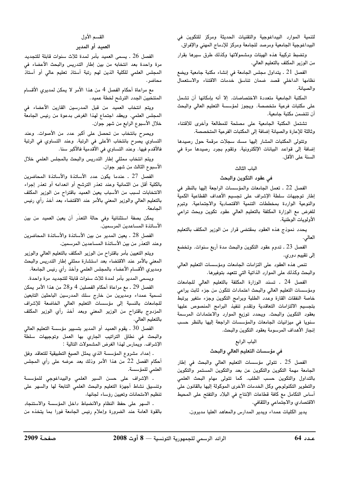لتنمية الموارد البيداغوجية والتقنيات الحديثة ومركز للتكوين فى البيداغوجية الجامعية ومرصد للجامعة ومركز للإدماج المهني والإفراق.

وتضبط تركيبة هذه الهيئات ومشمولاتها وكذلك طرق سيرها بقرار من الوزير المكلف بالتعليم العالي.

الفصل 21 . يتداول مجلس الجامعة في إنشاء مكتبة جامعية ويضع نظامها الداخلى قصد ضمان تناسق خدمات الاقتناء والاستعمال والصيانة.

المكتبة الجامعية متعددة الاختصاصات. إلا أنه بإمكانها أن تشمل على مكتبات فرعية متخصصة. ويجوز لمؤسسة التعليم العالي والبحث أن تتضمن مكتبة جامعية.

تشتمل المكتبة الجامعية على مصلحة للمطالعة وأخرى للاقتناء وثالثة للإعارة والصيانة إضافة إلى المكتبات الفرعية المتخصصة.

وتتولى المكتبات المشار إليها مسك سجلات مرقمة حول رصيدها إضافة إلى قواعد البيانات الإلكترونية. وتقوم بجرد رصيدها مرة في السنة على الأقل.

### الباب الثالث

### في عقود التكوين والبحث

الفصل 22 ـ تعمل الجامعات والمؤسسات الراجعة إليها بالنظر في إطار توجيهات سلطة الإشراف على تجسيم الأهداف القطاعية الكمية والنوعية الواردة بمخططات التنمية الاقتصادية والاجتماعية. وتبرم للغرض مع الوزارة المكلفة بالتعليم العالي عقود تكوين وبحث تراعي الأولويات الوطنية.

يحدد نموذج هذه العقود بمقتضى قرار من الوزير المكلف بالتعليم العالي.

الفصل 23 ـ تدوم عقود التكوين والبحث مدة أربع سنوات. وتخضع إلى تقييم دوري.

تنص هذه العقود على التزامات الجامعات ومؤسسات التعليم العالى والبحث وكذلك على الموارد الذاتية التي تتعهد بتوفيرها.

الفصل 24 . تسند الوزارة المكلفة بالتعليم العالى للجامعات ومؤسسات التعليم العالى والبحث اعتمادات تتكون من جزء ثابت يراعى خاصة النفقات القارة وعدد الطلبة وبرامج التكوين وجزء متغير يرتبط بتجسيم الالتزامات التعاقدية وتقدم تنفيذ البرامج المنصوص عليها بعقود التكوين والبحث. ويحدد توزيع الموارد والاعتمادات المرسمة سنويا في ميزانيات الجامعات والمؤسسات الراجعة إليها بالنظر حسب إنجاز الأهداف المرسومة بعقود التكوين والبحث.

### الباب الرابع

### في مؤسسات التعليم العالي والبحث

الفصل 25 ـ تتولى مؤسسات التعليم العالى والبحث في إطار الجامعة مهمة التكوين والتكوين عن بعد والتكوين المستمر والتكوين بالتداول والتكوين حسب الطلب. كما تتولى مهام البحث العلمى والتطوير التكنولوجي وكل الخدمات الأخرى الموكولة إليها بالقانون على أساس التكامل مع كافة قطاعات الإنتاج في البلاد والتفتح على المحيط الاقتصادي والاجتماعي والثقافي.

يدير الكليات عمداء ويدير المدارس والمعاهد العليا مديرون.

# القسم الأول

### العميد أو المدير

الفصل 26 . يسمى العميد بأمر لمدة ثلاث سنوات قابلة للتجديد مرة واحدة بعد انتخابه من بين إطار التدريس والبحث الأعضاء فى المجلس العلمى للكلية الذين لهم رتبة أستاذ تعليم عالى أو أستاذ محاضر .

مع مراعاة أحكام الفصل 4 من هذا الأمر لا يمكن لمديري الأقسام المنتخبين الجدد الترشح لخطة عميد.

ويتم انتخاب العميد من قبل المدرسين القارين الأعضاء في المجلس العلمى. ويعقد اجتماع لهذا الغرض بدعوة من رئيس الجامعة خلال الأسبوع الرابع من شهر جوان.

ويصرح بانتخاب من تحصل على أكبر عدد من الأصوات. وعند التساوي يصرح بانتخاب الأعلى في الرتبة. وعند التساوي في الرتبة فالأقدم فيها. وعند التساوي في الأقدمية فالأكبر سنا.

ويتم انتخاب ممثلى إطار التدريس والبحث بالمجلس العلمى خلال الأسبوع الثالث من شهر جوان.

الفصل 27 . عندما يكون عدد الأساتذة والأساتذة المحاضرين بالكلية أقل من الثمانية وعند تعذر الترشح أو انعدامه أو تعذر إجراء الانتخابات لسبب من الأسباب يعين العميد باقتراح من الوزير المكلف بالتعليم العالى والوزير المعنى بالأمر عند الاقتضاء بعد أخذ رأي رئيس الحامعة.

يمكن بصفة استثنائية وفي حالة التعذر أن يعين العميد من بين الأساتذة المساعدين المرسمين.

الفصل 28 ـ يعين المدير من بين الأساتذة والأساتذة المحاضرين وعند التعذر من بين الأساتذة المساعدين المرسمين.

ويتم التعيين بأمر باقتراح من الوزير المكلف بالتعليم العالى والوزير المعني بالأمر عند الاقتضاء بعد استشارة ممثلي إطار التدريس والبحث ومديري الأقسام الأعضاء بالمجلس العلمي وأخذ رأي رئيس الجامعة.

ويسمى المدير بأمر لمدة ثلاث سنوات قابلة للتجديد مرة واحدة. الفصل 29 ـ مع مراعاة أحكام الفصلين 4 و28 من هذا الأمر يمكن

تسمية عمداء ومديرين من خارج سلك المدرسين الباحثين التابعين للجامعات بالنسبة إلى مؤسسات التعليم العالي الخاضعة للإشراف المزدوج باقتراح من الوزير المعني وبعد أخذ رأي الوزير المكلف بالتعليم العالي.

الفصل 30 . يقوم العميد أو المدير بتسيير مؤسسة التعليم العالي والبحث في نطاق التراتيب الجاري بها العمل وتوجيهات سلطة الإشراف. ويمارس لهذا الغرض المشمولات التالية :

. إعداد مشروع المؤسسة الذي يمثل الصيغ التطبيقية للتعاقد وفق أحكام الفصل 22 من هذا الأمر وذلك بعد عرضه على رأي المجلس العلمى للمؤسسة.

. الإشراف على حسن السير العلمى والبيداغوجى للمؤسسة وتنسيق نشاط أجهزة التعليم والبحث العلمي التابعة لها والسهر على تنظيم الامتحانات وتعيين رؤساء لجانها،

. السهر على حفظ النظام والانضباط داخل المؤسسة والاستنجاد بالقوة العامة عند الضرورة وإعلام رئيس الجامعة فورا بما يتخذه من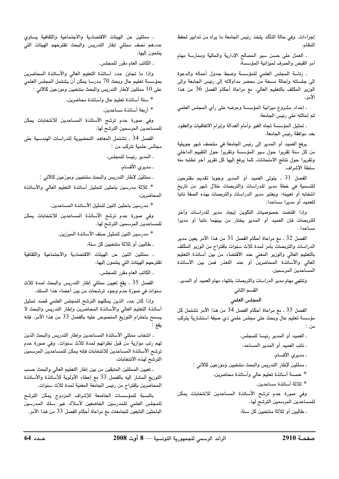إجراءات. وفي حالة التأكد يتخذ رئيس الجامعة ما يراه من تدابير لحفظ النظام،

ـ العمل على حسن سير المصالح الإدارية والمالية وممارسة مهام آمر القبض والصرف لميزانية المؤسسة،

. رئاسة المجلس العلمي للمؤسسة وضبط جدول أعماله والدعوة إلى جلساته وإحالة نسخة من محضر مداولاته إلى رئيس الجامعة وإلى الوزير المكلف بالتعليم العالي، مع مراعاة أحكام الفصل 36 من هذا الأمر ،

. إعداد مشروع ميزانية المؤسسة وعرضه على رأي المجلس العلمي ثم إحالته على رئيس الجامعة،

. تمثيل المؤسسة تجاه الغير وأمام العدالة وإبرام الاتفاقيات والعقود بعد موافقة رئيس الجامعة.

يرفع العميد أو المدير إلى رئيس الجامعة في منتصف شهر جويلية من كل سنة تقريرا حول سير المؤسسة وتقريرا حول التقييم الداخلي وتقريرا حول نتائج الامتحانات، كما يرفع إليها كل تقرير آخر تطلبه منه سلطة الإشراف.

الفصل 31 . يتولى العميد أو المدير وجوبا تقديم مقترحين للتسمية في خطة مدير للدراسات والتربصات خلال شهر من تاريخ انتخابه أو تعيينه. ويعتبر مدير الدراسات والتربصات بهذه الصفة نائبا للعميد أو مديرا مساعدا.

وإذا اقتضت خصوصيات التكوين إيجاد مدير للدراسات وآخر للتربصات فإن العميد أو المدير يختار من بينهما نائبا أو مديرا مساعدا.

الفصل 32 ـ مع مراعاة أحكام الفصل 31 من هذا الأمر يعين مدير الدراسات والتربصات بأمر لمدة ثلاث سنوات باقتراح من الوزير المكلف بالتعليم العالي والوزير المعني عند الاقتضاء من بين أساتذة التعليم العالى والأساتذة المحاضرين أو عند التعذر فمن بين الأساتذة المساعدين المرسمين.

وتنتهي مهام مدير الدراسات والتربصات بانتهاء مهام العميد أو المدير.

### القسم الثاني

### المجلس العلمى

الفصل 33 . مع مراعاة أحكام الفصل 34 من هذا الأمر تشتمل كل مؤسسة تعليم عال وبحث على مجلس علمي ذي صبغة استشارية يتركب ىن :

> ـ العميد أو المدير رئيسا للمجلس، . نائب العميد أو المدير المساعد،

. مديري الأقسام،

. ممثلين لإطار التدريس والبحث منتخبين وموزعين كالآتى :

\* خمسة أساتذة تعليم عالى وأساتذة محاضرين،

\* ثلاثة أساتذة مساعدين.

وفي صورة عدم ترشح الأساتذة المساعدين للانتخابات يمكن للمساعدين المرسمين الترشح لها.

. طالبين أو ثلاثة منتخبين كل سنة،

. ممثلين عن الهيئات الاقتصادية والاجتماعية والثقافية يساوى عددهم نصف ممثلي إطار التدريس والبحث تقترحهم الهيئات التي ينتمون إليها،

. الكاتب العام مقرر للمجلس.

وإذا ما تجاوز عدد أساتذة التعليم العالي والأساتذة المحاضرين بمؤسسة تعليم عال وبحث 70 مدرسا يمكن أن يشتمل المجلس العلمى على 10 ممثلين لإطار التدريس والبحث منتخبين وموزعين كالآتى :

\* ستة أساتذة تعليم عال وأساتذة محاضرين،

\* أربعة أساتذة مساعدين.

وفي صورة عدم ترشح الأساتذة المساعدين للانتخابات يمكن للمساعدين المرسمين الترشح لها.

الفصل 34 . تشتمل المعاهد التحضيرية للدراسات الهندسية على مجالس علمية تتركب من :

. المدير رئيسا للمجلس،

. مديري الأقسام،

ـ ممثلين لإطار التدريس والبحث منتخبين وموزَعين كالآتي :

\* ثلاثة مدرسين باحثين لتمثيل أساتذة التعليم العالى والأساتذة المحاضرين،

\* مدرسين باحثين اثنين لتمثيل الأساتذة المساعدين.

وفى صورة عدم ترشح الأساتذة المساعدين للانتخابات يمكن للمساعدين المرسمين الترشح لها.

\* مدرسين اثنين لتمثيل صنف الأساتذة المبرّزين.

. طالبين أو ثلاثة منتخبين كل سنة،

. ممثلين اثنين عن الهيئات الاقتصادية والاجتماعية والثقافية تقترحهم الهيئات التى ينتمون إليها،

. الكاتب العام مقرر للمجلس.

الفصل 35 . يقع تعيين ممثلي إطار التدريس والبحث لمدة ثلاث سنوات في صورة عدم وجود ترشحات من بين أعضاء هذا السلك.

وإذا كان عدد الذين يمكنهم الترشح للمجلس العلمى قصد تمثيل أساتذة التعليم العالي والأساتذة المحاضرين وإطار التدريس والبحث لا يسمح باحترام التوزيع المنصوص عليه بالفصل 33 من هذا الأمر، فإنه يقع

. انتخاب ممثلي الأساتذة المساعدين وإطار التدريس والبحث الذين لهم رتب موازية من قبل نظرائهم لمدة ثلاث سنوات. وفي صورة عدم ترشح الأساتذة المساعدين للانتخابات فإنه يمكن للمساعدين المرسمين الترشح لهذه الانتخابات،

. تعيين الممثلين المتبقين من بين إطار التعليم العالي والبحث حسب التوزيع المشار إليه بالفصل 33 مع إعطاء الأولوية للأساتذة والأساتذة المحاضرين باقتراح من رئيس الجامعة المعنية لمدة ثلاث سنوات.

بالنسبة للمؤسسات الخاضعة للإشراف المزدوج يمكن الترشح للمجلس العلمى للمدرسين الخاضعين لأسلاك غير سلك المدرسين الباحثين التابعين للجامعات مع مراعاة أحكام الفصل 33 من هذا الأمر.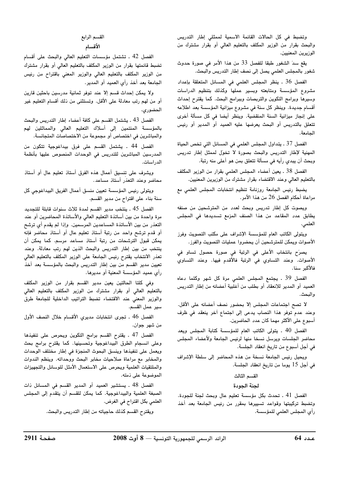وتضبط في كل الحالات القائمة الاسمية لممثلي إطار التدريس والبحث بقرار من الوزير المكلف بالتعليم العالي أو بقرار مشترك من الوزيرين المعنيين.

يقع سدَ الشغور طبقا للفصل 33 من هذا الأمر في صورة حدوث شغور بالمجلس العلمي يصل إلى نصف إطار التدريس والبحث.

الفصل 36 . ينظر المجلس العلمي في المسائل المتعلقة بإعداد مشروع المؤسسة ومتابعته وبسير عملها وكذلك بتنظيم الدراسات وسيرها وبرامج التكوين والتربصات وببرامج البحث. كما يقترح إحداث أقسام جديدة. وينظر كل سنة في مشروع ميزانية المؤسسة بعد اطلاعه على إنجاز ميزانية السنة المنقضية. وينظر أيضا في كل مسألة أخرى تتعلق بالتدريس أو البحث يعرضها عليه العميد أو المدير أو رئيس الجامعة.

الفصل 37 . يتداول المجلس العلمي في المسائل التي تخص الحياة المهنية لإطار التدريس والبحث بصورة لا تخول لممثل إطار تدريس وبحث أن يبدى رأيه في مسألة تتعلق بمن هو أعلى منه رتبة.

الفصل 38 ـ يعين أعضاء المجلس العلمي بقرار من الوزير المكلف بالتعليم العالي وعند الاقتضاء بقرار مشترك من الوزيرين المعنيين.

يضبط رئيس الجامعة روزنامة تنظيم انتخابات المجلس العلمي مع مراعاة أحكام الفصل 26 من هذا الأمر.

ويصوت كل إطار تدريس وبحث لعدد من المترشحين من صنفه يطابق عدد المقاعد من هذا الصنف المزمع تسديدها فى المجلس العلمي.

ويتولى الكاتب العام للمؤسسة الإشراف على مكتب التصويت وفرز الأصوات ويمكن للمترشحين أن يحضروا عمليات التصويت والفرز.

يصرَح بانتخاب الأعلى في الرتبة في صورة حصول تساو في الأصوات. وعند التساوي في الرتبة فالأقدم فيها. وعند التساوي فالأكبر سنا.

الفصل 39 . يجتمع المجلس العلمى مرة كل شهر وكلما دعاه العميد أو المدير للانعقاد أو بطلب من أغلبية أعضائه من إطار التدريس والبحث.

لا تصح اجتماعات المجلس إلا بحضور نصف أعضائه على الأقل. وعند عدم توفر هذا النصاب يدعى إلى اجتماع آخر ينعقد في ظرف أسبوع على الأكثر مهما كان عدد الحاضرين.

الفصل 40 . يتولى الكاتب العام للمؤسسة كتابة المجلس ويعد محاضر الجلسات ويرسل نسخا منها لرئيس الجامعة ولأعضاء المجلس في أجل أسبوع من تاريخ انعقاد الجلسة.

ويحيل رئيس الجامعة نسخة من هذه المحاضر إلى سلطة الإشراف في أجل 15 يوما من تاريخ انعقاد الجلسة.

#### القسم الثالث

#### لجنة الجودة

الفصل 41 . تحدث بكل مؤسسة تعليم عال وبحث لجنة للجودة. وتضبط تركيبتها وقواعد تسييرها بمقرر من رئيس الجامعة بعد أخذ رأي المجلس العلمي للمؤسسة.

### القسم الرابع الأقسام

الفصل 42 . تشتمل مؤسسات التعليم العالي والبحث على أقسام تضبط قائمتها بقرار من الوزير المكلف بالتعليم العالى أو بقرار مشترك من الوزير المكلف بالتعليم العالى والوزير المعنى باقتراح من رئيس الجامعة بعد أخذ رأى العميد أو المدير.

ولا يمكن إحداث قسم إلا عند توفر ثمانية مدرسين باحثين قارين أو من لهم رتب معادلة على الأقل. وتستثني من ذلك أقسام التعليم غير الحضوري.

الفصل 43 . يشتمل القسم على كافة أعضاء إطار التدريس والبحث بالمؤسسة المنتمين إلى أسلاك التعليم العالى والمماثلين لهم والمباشرين في اختصاص أو مجموعة من الاختصاصات المتجانسة.

الفصل 44 . يشتمل القسم على فرق بيداغوجية تتكون من المدرسين المباشرين للتدريس فى الوحدات المنصوص عليها بأنظمة الدراسات.

ويشرف على تنسيق أعمال هذه الفرق أستاذ تعليم عال أو أستاذ محاضر وعند التعذر أستاذ مساعد.

ويتولى رئيس المؤسسة تعيين منسق أعمال الفريق البيداغوجي كل سنة بناء على اقتراح من مدير القسم.

الفصل 45 . ينتخب مدير القسم لمدة ثلاث سنوات قابلة للتجديد مرة واحدة من بين أساتذة التعليم العالى والأساتذة المحاضرين أو عند التعذر من بين الأساتذة المساعدين المرسمين. وإذا لم يقدم أي ترشح أو قدم ترشح واحد من رتبة أستاذ تعليم عال أو أستاذ محاضر فإنه يمكن قبول الترشحات من رتبة أستاذ مساعد مرسم. كما يمكن أن ينتخب من بين إطار التدريس والبحث الذين لهم رتب معادلة. وعند تعذر الانتخاب يقترح رئيس الجامعة على الوزير المكلف بالتعليم العالى تعيين مدير القسم من بين إطار التدريس والبحث بالمؤسسة بعد أخذ رأى عميد المؤسسة المعنية أو مديرها.

وفي كلتا الحالتين يعين مدير القسم بقرار من الوزير المكلف بالتعليم العالي أو بقرار مشترك من الوزير المكلف بالتعليم العالي والوزير المعني عند الاقتضاء تضبط التراتيب الداخلية للجامعة طرق سير عمل القسم.

الفصل 46 . تجرى انتخابات مديري الأقسام خلال النصف الاول من شهر جوان.

الفصل 47 ـ يقترح القسم برامج التكوين ويحرص على تنفيذها وعلى انسجام الطرق البيداغوجية وتحسينها. كما يقترح برامج بحث ويعمل على تنفيذها وينسق البحوث المنجزة فى إطار مختلف الوحدات والمخابر مع مراعاة صلاحيات مخابر البحث ووحداته. وينظم الندوات والملتقيات العلمية ويحرص على الاستعمال الأمثل للوسائل والتجهيزات الموضوعة على ذمته.

الفصل 48 ـ يستشير العميد أو المدير القسم في المسائل ذات الصبغة العلمية والبيداغوجية. كما يمكن للقسم أن يتقدم إلى المجلس العلمي بكل اقتراح في الغرض.

ويقترح القسم كذلك حاجياته من إطار التدريس والبحث.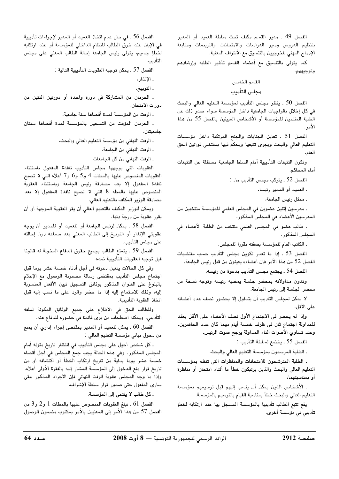الفصل 49 ـ مدير القسم مكلف تحت سلطة العميد أو المدير بتنظيم الدروس وسير الدراسات والامتحانات والتربصات ومتابعة الإدماج المهني للخرجيين بالتنسيق مع الأطراف المعنية.

كما يتولى بالتنسيق مع أعضاء القسم تأطير الطلبة وإرشادهم وتوجيههم.

#### القسم الخامس

#### مجلس التأديب

الفصل 50 . ينظر مجلس التأديب لمؤسسة التعليم العالي والبحث في كل إخلال بالواجبات الجامعية داخل المؤسسة سواء صدر ذلك عن الطلبة المنتمين للمؤسسة أو الأشخاص المبينين بالفصل 55 من هذا الأمر .

الفصل 51 . تعاين الجنايات والجنح المرتكبة داخل مؤسسات التعليم العالي والبحث ويجرى تتبعها ويحكم فيها بمقتضى قوانين الحق العام.

وتكون التتبعات التأديبية أمام السلط الجامعية مستقلة عن التتبعات أمام المحاكم.

الفصل 52 . يتركب مجلس التأديب من :

. العميد أو المدير رئيسا،

. ممثل رئيس الجامعة،

ـ مدرسين إثنين عضوين في المجلس العلمي للمؤسسة منتخبين من المدرسين الأعضاء في المجلس المذكور،

. طالب عضو في المجلس العلمي منتخب من الطلبة الأعضاء في المحلس المذكور،

. الكاتب العام للمؤسسة بصفته مقررا للمجلس.

الفصل 53 . إذا ما تعذر تكوين مجلس التأديب حسب مقتضيات الفصل 52 من هذا الأمر فإن أعضاءه يعينون من قبل رئيس الجامعة.

الفصل 54 . يجتمع مجلس التأديب بدعوة من رئيسه.

وتدون مداولاته بمحضر جلسة يمضيه رئيسه وتوجه نسخة من محضر الجلسة إلى رئيس الجامعة.

لا يمكن لمجلس التأديب أن يتداول إلا بحضور نصف عدد أعضائه على الأقل.

وإذا لم يحضر في الاجتماع الأول نصف الأعضاء على الأقل يعقد للمداولة اجتماع ثان في ظرف خمسة أيام مهما كان عدد الحاضرين. وعند تساوى الأصوات أثناء المداولة يرجح صوت الرئيس.

الفصل 55 . يخضع لسلطة التأديب :

ـ الطلبة المرسمون بمؤسسة التعليم العالى والبحث،

. الطلبة المترشحون للامتحانات والمناظرات التي تنظم بمؤسسات التعليم العالى والبحث والذين يرتبكون خطأ ما أثناء امتحان أو مناظرة أو بمناسبتهما،

. الأشخاص الذين يمكن أن ينسب إليهم قبل ترسيمهم بمؤسسة التعليم العالي والبحث خطأ بمناسبة القيام بالترسيم بالمؤسسة.

يقع تتبع الطالب تأديبيا بالمؤسسة المسجل بها عند ارتكابه لخطإ تأديبي في مؤسسة أخرى.

الفصل 56 . في حال عدم اتخاذ العميد أو المدير لإجراءات تأديبية في الإبان عند خرق الطالب للنظام الداخلي للمؤسسة أو عند ارتكابه لخطإ جسيم، يتولى رئيس الجامعة إحالة الطالب المعنى على مجلس التأديب.

الفصل 57 ـ يمكن توجيه العقوبات التأديبية التالية :

ـ الإنذار ،

. الحرمان من المشاركة في دورة واحدة أو دورتين اثنتين من دورات الامتحان،

. الرفت من المؤسسة لمدة أقصاها سنة جامعية،

. الحرمان المؤقت من التسجيل بالمؤسسة لمدة أقصاها سنتان جامعيتان،

ـ الرفت النهائي من مؤسسة التعليم العالي والبحث،

ـ الرفت النهائي من الجامعة،

ـ الرفت النهائي من كل الجامعات.

العقوبات التى يوجهها مجلس التأديب نافذة المفعول باستثناء العقوبات المنصوص عليها بالمطات 4 و5 و6 و7 أعلاه التي لا تصبح نافذة المفعول إلا بعد مصادقة رئيس الجامعة وباستثناء العقوبة المنصوص عليها بالمطة 8 التي لا تصبح نافذة المفعول إلا بعد مصادقة الوزير المكلف بالتعليم العالي.

ويمكن للوزير المكلف بالتعليم العالى أن يقر العقوبة الموجهة أو أن يقرر عقوبة من درجة دنيا.

الفصل 58 . يمكن لرئيس الجامعة أو للعميد أو للمدير أن يوجه عقوبتى الإنذار أو التوبيخ إلى الطالب المعنى بعد سماعه دون إحالته على مجلس التأديب.

الفصل 59 . يتمتع الطالب بجميع حقوق الدفاع المخولة له قانونا قبل توجيه العقوبات التأديبية ضده.

وفي كل الحالات يتعين دعوته في أجل أدناه خمسة عشر يوما قبل اجتماع مجلس التأديب بمقتضى رسالة مضمونة الوصول مع الإعلام بالبلوغ على العنوان المذكور بوثائق التسجيل تبين الأفعال المنسوبة إليه، وذلك للاستماع إليه إذا ما حضر والرد على ما نسب إليه قبل اتخاذ العقوبة التأديبية.

وللطالب الحق في الاطلاع على جميع الوثائق المكونة لملفه التأديبي. ويمكنه اصطحاب من يرى فائدة في حضوره للدفاع عنه.

الفصل 60 ـ يمكن للعميد أو المدير بمقتضى إجراء إدارى أن يمنع من دخول مباني مؤسسة التعليم العالي :

. كل شخص أحيل على مجلس التأديب في انتظار تاريخ مثوله أمام المجلس المذكور. وفي هذه الحالة يجب جمع المجلس في أجل أقصاه خمسة عشر يوما بداية من تاريخ ارتكاب الخطأ أو اكتشافه أو من تاريخ قرار منع الدخول إلى المؤسسة المشار إليه بالفقرة الأولى أعلاه. وإذا ما وجه المجلس عقوبة الرفت النهائي فإن الإجراء المذكور يبقى سارى المفعول حتى صدور قرار سلطة الإشراف،

ـ كل طالب لا ينتمي إلى المؤسسة.

الفصل 61 ـ تبلغ العقوبات المنصوص عليها بالمطات 1 و2 و3 من الفصل 57 من هذا الأمر إلى المعنيين بالأمر بمكتوب مضمون الوصول

<sup>.</sup> التوبيخ،